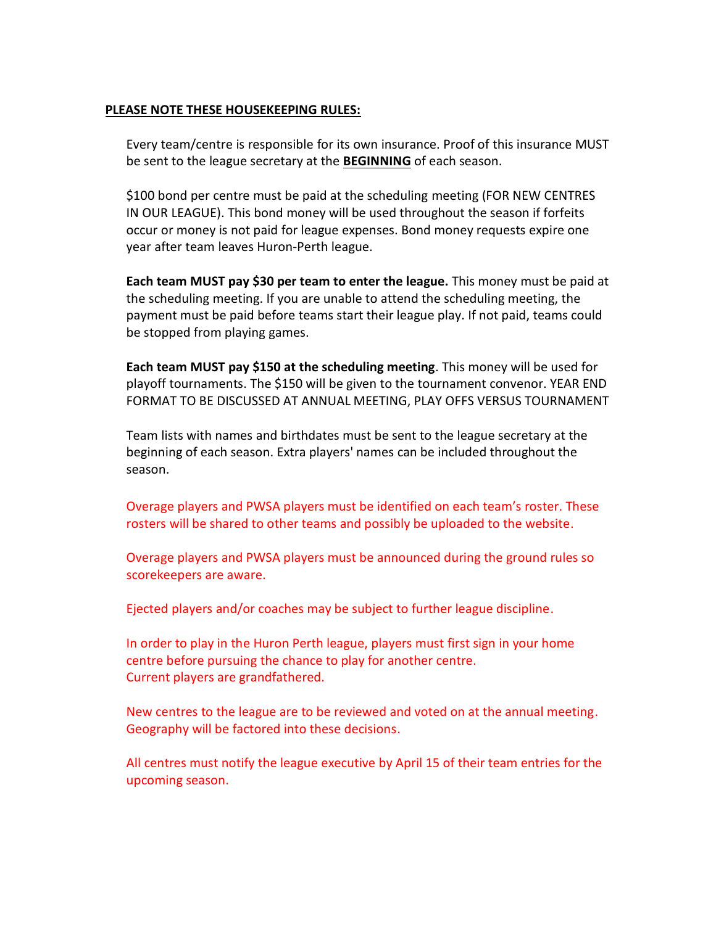#### **PLEASE NOTE THESE HOUSEKEEPING RULES:**

Every team/centre is responsible for its own insurance. Proof of this insurance MUST be sent to the league secretary at the **BEGINNING** of each season.

\$100 bond per centre must be paid at the scheduling meeting (FOR NEW CENTRES IN OUR LEAGUE). This bond money will be used throughout the season if forfeits occur or money is not paid for league expenses. Bond money requests expire one year after team leaves Huron-Perth league.

**Each team MUST pay \$30 per team to enter the league.** This money must be paid at the scheduling meeting. If you are unable to attend the scheduling meeting, the payment must be paid before teams start their league play. If not paid, teams could be stopped from playing games.

**Each team MUST pay \$150 at the scheduling meeting**. This money will be used for playoff tournaments. The \$150 will be given to the tournament convenor. YEAR END FORMAT TO BE DISCUSSED AT ANNUAL MEETING, PLAY OFFS VERSUS TOURNAMENT

Team lists with names and birthdates must be sent to the league secretary at the beginning of each season. Extra players' names can be included throughout the season.

Overage players and PWSA players must be identified on each team's roster. These rosters will be shared to other teams and possibly be uploaded to the website.

Overage players and PWSA players must be announced during the ground rules so scorekeepers are aware.

Ejected players and/or coaches may be subject to further league discipline.

In order to play in the Huron Perth league, players must first sign in your home centre before pursuing the chance to play for another centre. Current players are grandfathered.

New centres to the league are to be reviewed and voted on at the annual meeting. Geography will be factored into these decisions.

All centres must notify the league executive by April 15 of their team entries for the upcoming season.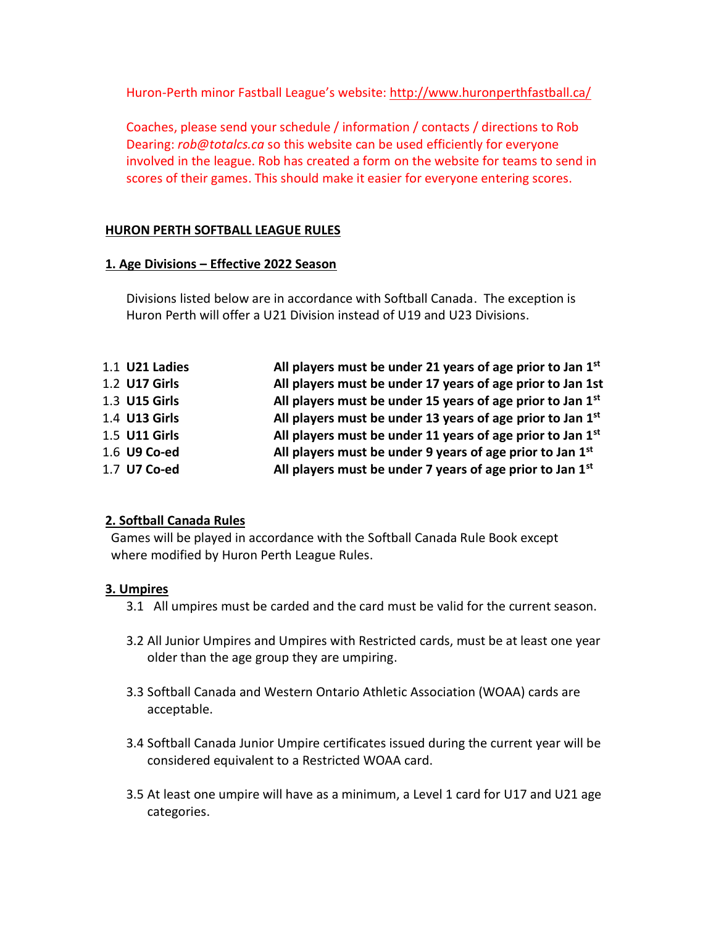Huron-Perth minor Fastball League's website:<http://www.huronperthfastball.ca/>

Coaches, please send your schedule / information / contacts / directions to Rob Dearing: *rob@totalcs.ca* so this website can be used efficiently for everyone involved in the league. Rob has created a form on the website for teams to send in scores of their games. This should make it easier for everyone entering scores.

### **HURON PERTH SOFTBALL LEAGUE RULES**

### **1. Age Divisions – Effective 2022 Season**

Divisions listed below are in accordance with Softball Canada. The exception is Huron Perth will offer a U21 Division instead of U19 and U23 Divisions.

| 1.1 <b>U21 Ladies</b> | All players must be under 21 years of age prior to Jan $1st$           |
|-----------------------|------------------------------------------------------------------------|
| 1.2 U17 Girls         | All players must be under 17 years of age prior to Jan 1st             |
| 1.3 U15 Girls         | All players must be under 15 years of age prior to Jan $1st$           |
| 1.4 U13 Girls         | All players must be under 13 years of age prior to Jan 1 <sup>st</sup> |
| 1.5 U11 Girls         | All players must be under 11 years of age prior to Jan 1st             |
| 1.6 U9 Co-ed          | All players must be under 9 years of age prior to Jan 1st              |
| 1.7 U7 Co-ed          | All players must be under 7 years of age prior to Jan 1 <sup>st</sup>  |

### **2. Softball Canada Rules**

Games will be played in accordance with the Softball Canada Rule Book except where modified by Huron Perth League Rules.

### **3. Umpires**

- 3.1 All umpires must be carded and the card must be valid for the current season.
- 3.2 All Junior Umpires and Umpires with Restricted cards, must be at least one year older than the age group they are umpiring.
- 3.3 Softball Canada and Western Ontario Athletic Association (WOAA) cards are acceptable.
- 3.4 Softball Canada Junior Umpire certificates issued during the current year will be considered equivalent to a Restricted WOAA card.
- 3.5 At least one umpire will have as a minimum, a Level 1 card for U17 and U21 age categories.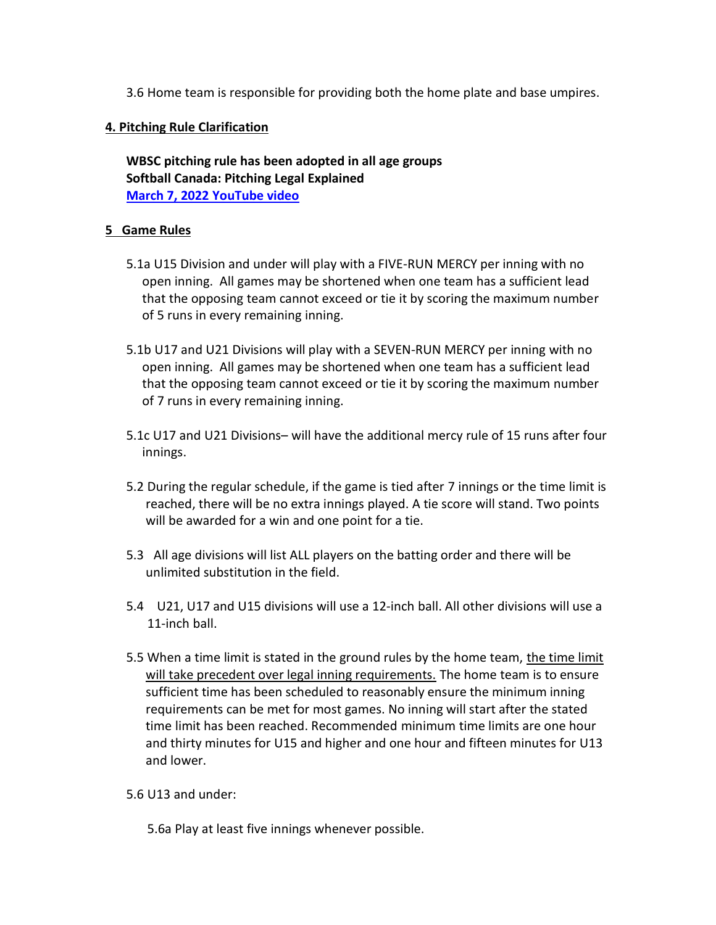3.6 Home team is responsible for providing both the home plate and base umpires.

### **4. Pitching Rule Clarification**

**WBSC pitching rule has been adopted in all age groups Softball Canada: Pitching Legal Explained [March 7, 2022 YouTube video](https://www.youtube.com/watch?v=M1HEStlH0MM)**

### **5 Game Rules**

- 5.1a U15 Division and under will play with a FIVE-RUN MERCY per inning with no open inning. All games may be shortened when one team has a sufficient lead that the opposing team cannot exceed or tie it by scoring the maximum number of 5 runs in every remaining inning.
- 5.1b U17 and U21 Divisions will play with a SEVEN-RUN MERCY per inning with no open inning. All games may be shortened when one team has a sufficient lead that the opposing team cannot exceed or tie it by scoring the maximum number of 7 runs in every remaining inning.
- 5.1c U17 and U21 Divisions– will have the additional mercy rule of 15 runs after four innings.
- 5.2 During the regular schedule, if the game is tied after 7 innings or the time limit is reached, there will be no extra innings played. A tie score will stand. Two points will be awarded for a win and one point for a tie.
- 5.3 All age divisions will list ALL players on the batting order and there will be unlimited substitution in the field.
- 5.4 U21, U17 and U15 divisions will use a 12-inch ball. All other divisions will use a 11-inch ball.
- 5.5 When a time limit is stated in the ground rules by the home team, the time limit will take precedent over legal inning requirements. The home team is to ensure sufficient time has been scheduled to reasonably ensure the minimum inning requirements can be met for most games. No inning will start after the stated time limit has been reached. Recommended minimum time limits are one hour and thirty minutes for U15 and higher and one hour and fifteen minutes for U13 and lower.

### 5.6 U13 and under:

5.6a Play at least five innings whenever possible.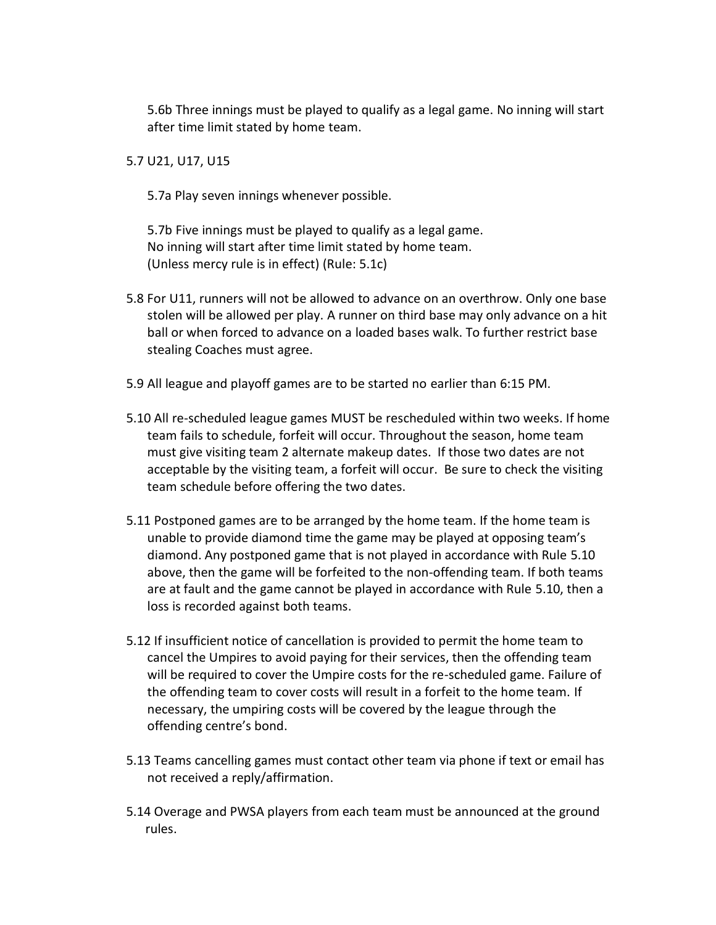5.6b Three innings must be played to qualify as a legal game. No inning will start after time limit stated by home team.

5.7 U21, U17, U15

5.7a Play seven innings whenever possible.

5.7b Five innings must be played to qualify as a legal game. No inning will start after time limit stated by home team. (Unless mercy rule is in effect) (Rule: 5.1c)

- 5.8 For U11, runners will not be allowed to advance on an overthrow. Only one base stolen will be allowed per play. A runner on third base may only advance on a hit ball or when forced to advance on a loaded bases walk. To further restrict base stealing Coaches must agree.
- 5.9 All league and playoff games are to be started no earlier than 6:15 PM.
- 5.10 All re-scheduled league games MUST be rescheduled within two weeks. If home team fails to schedule, forfeit will occur. Throughout the season, home team must give visiting team 2 alternate makeup dates. If those two dates are not acceptable by the visiting team, a forfeit will occur. Be sure to check the visiting team schedule before offering the two dates.
- 5.11 Postponed games are to be arranged by the home team. If the home team is unable to provide diamond time the game may be played at opposing team's diamond. Any postponed game that is not played in accordance with Rule 5.10 above, then the game will be forfeited to the non-offending team. If both teams are at fault and the game cannot be played in accordance with Rule 5.10, then a loss is recorded against both teams.
- 5.12 If insufficient notice of cancellation is provided to permit the home team to cancel the Umpires to avoid paying for their services, then the offending team will be required to cover the Umpire costs for the re-scheduled game. Failure of the offending team to cover costs will result in a forfeit to the home team. If necessary, the umpiring costs will be covered by the league through the offending centre's bond.
- 5.13 Teams cancelling games must contact other team via phone if text or email has not received a reply/affirmation.
- 5.14 Overage and PWSA players from each team must be announced at the ground rules.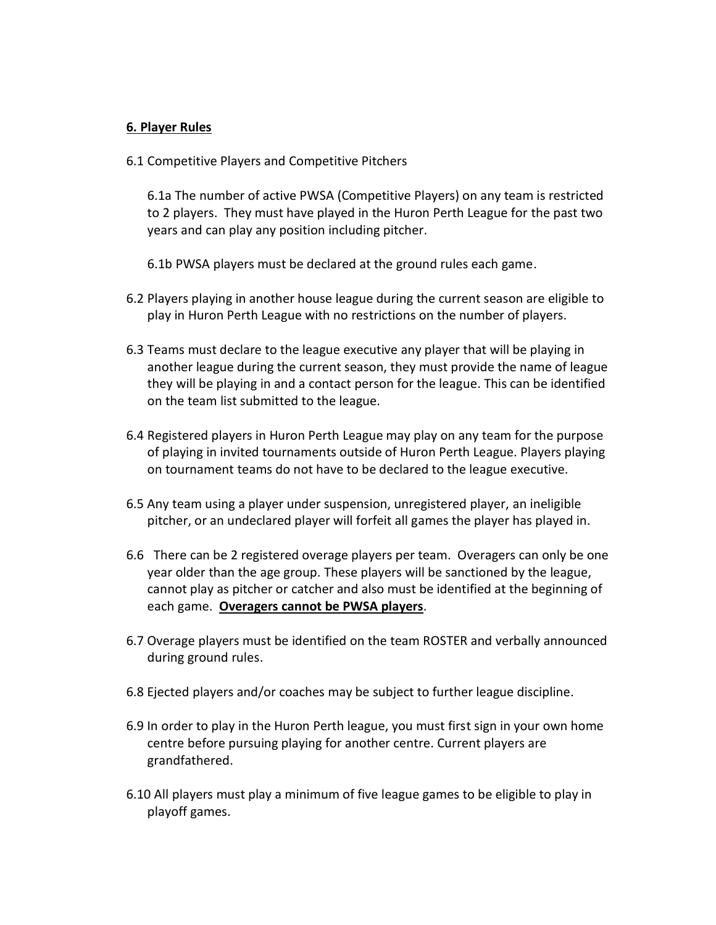#### **6. Player Rules**

6.1 Competitive Players and Competitive Pitchers

6.1a The number of active PWSA (Competitive Players) on any team is restricted to 2 players. They must have played in the Huron Perth League for the past two years and can play any position including pitcher.

6.1b PWSA players must be declared at the ground rules each game.

- 6.2 Players playing in another house league during the current season are eligible to play in Huron Perth League with no restrictions on the number of players.
- 6.3 Teams must declare to the league executive any player that will be playing in another league during the current season, they must provide the name of league they will be playing in and a contact person for the league. This can be identified on the team list submitted to the league.
- 6.4 Registered players in Huron Perth League may play on any team for the purpose of playing in invited tournaments outside of Huron Perth League. Players playing on tournament teams do not have to be declared to the league executive.
- 6.5 Any team using a player under suspension, unregistered player, an ineligible pitcher, or an undeclared player will forfeit all games the player has played in.
- 6.6 There can be 2 registered overage players per team. Overagers can only be one year older than the age group. These players will be sanctioned by the league, cannot play as pitcher or catcher and also must be identified at the beginning of each game. **Overagers cannot be PWSA players**.
- 6.7 Overage players must be identified on the team ROSTER and verbally announced during ground rules.
- 6.8 Ejected players and/or coaches may be subject to further league discipline.
- 6.9 In order to play in the Huron Perth league, you must first sign in your own home centre before pursuing playing for another centre. Current players are grandfathered.
- 6.10 All players must play a minimum of five league games to be eligible to play in playoff games.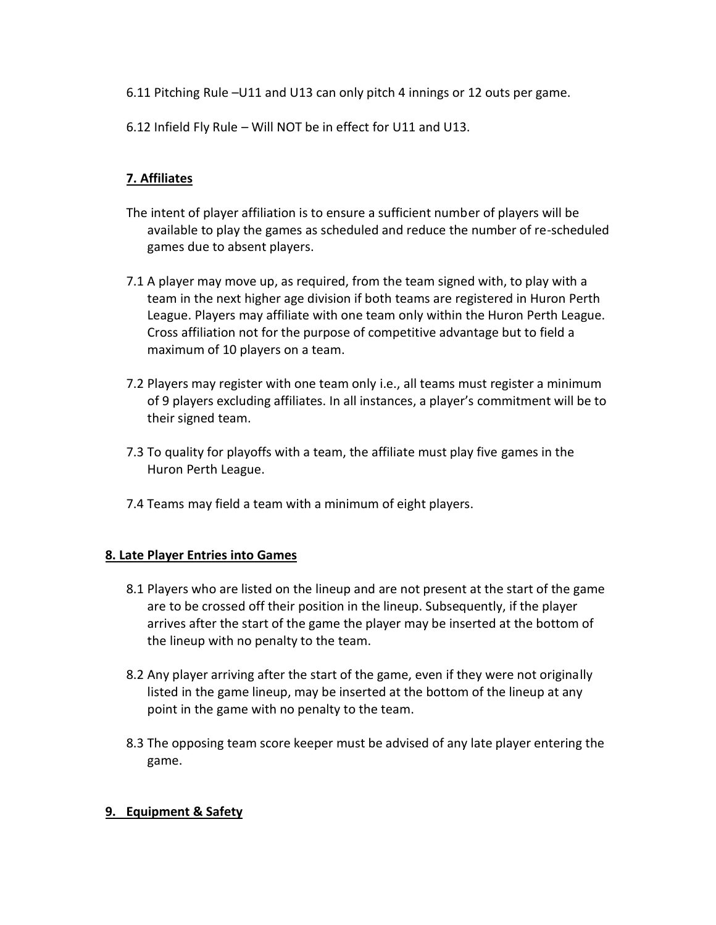- 6.11 Pitching Rule –U11 and U13 can only pitch 4 innings or 12 outs per game.
- 6.12 Infield Fly Rule Will NOT be in effect for U11 and U13.

# **7. Affiliates**

- The intent of player affiliation is to ensure a sufficient number of players will be available to play the games as scheduled and reduce the number of re-scheduled games due to absent players.
- 7.1 A player may move up, as required, from the team signed with, to play with a team in the next higher age division if both teams are registered in Huron Perth League. Players may affiliate with one team only within the Huron Perth League. Cross affiliation not for the purpose of competitive advantage but to field a maximum of 10 players on a team.
- 7.2 Players may register with one team only i.e., all teams must register a minimum of 9 players excluding affiliates. In all instances, a player's commitment will be to their signed team.
- 7.3 To quality for playoffs with a team, the affiliate must play five games in the Huron Perth League.
- 7.4 Teams may field a team with a minimum of eight players.

## **8. Late Player Entries into Games**

- 8.1 Players who are listed on the lineup and are not present at the start of the game are to be crossed off their position in the lineup. Subsequently, if the player arrives after the start of the game the player may be inserted at the bottom of the lineup with no penalty to the team.
- 8.2 Any player arriving after the start of the game, even if they were not originally listed in the game lineup, may be inserted at the bottom of the lineup at any point in the game with no penalty to the team.
- 8.3 The opposing team score keeper must be advised of any late player entering the game.

## **9. Equipment & Safety**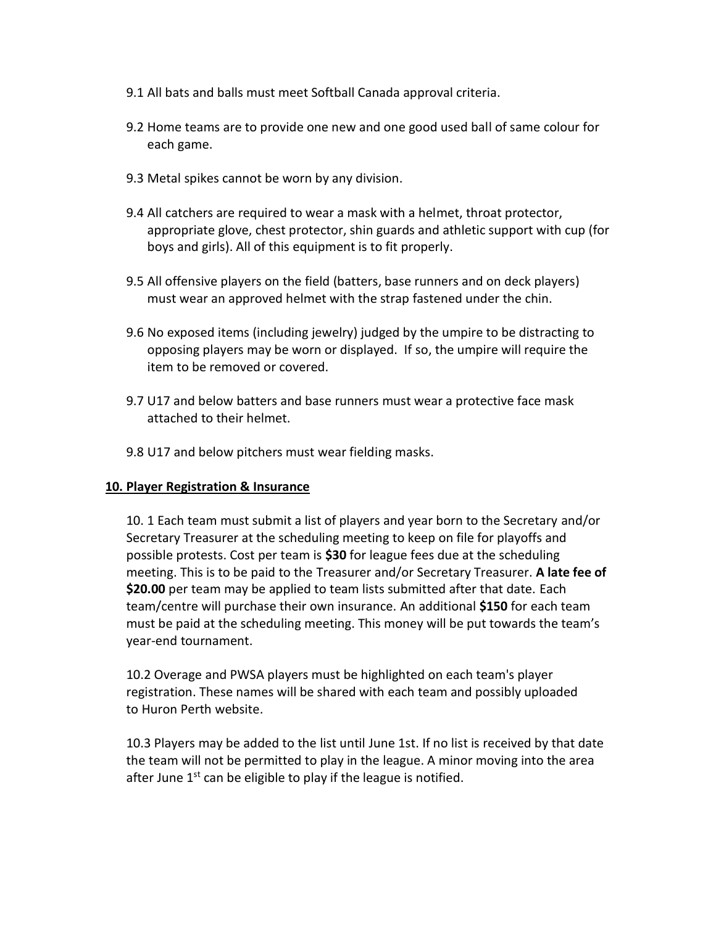- 9.1 All bats and balls must meet Softball Canada approval criteria.
- 9.2 Home teams are to provide one new and one good used ball of same colour for each game.
- 9.3 Metal spikes cannot be worn by any division.
- 9.4 All catchers are required to wear a mask with a helmet, throat protector, appropriate glove, chest protector, shin guards and athletic support with cup (for boys and girls). All of this equipment is to fit properly.
- 9.5 All offensive players on the field (batters, base runners and on deck players) must wear an approved helmet with the strap fastened under the chin.
- 9.6 No exposed items (including jewelry) judged by the umpire to be distracting to opposing players may be worn or displayed. If so, the umpire will require the item to be removed or covered.
- 9.7 U17 and below batters and base runners must wear a protective face mask attached to their helmet.
- 9.8 U17 and below pitchers must wear fielding masks.

### **10. Player Registration & Insurance**

10. 1 Each team must submit a list of players and year born to the Secretary and/or Secretary Treasurer at the scheduling meeting to keep on file for playoffs and possible protests. Cost per team is **\$30** for league fees due at the scheduling meeting. This is to be paid to the Treasurer and/or Secretary Treasurer. **A late fee of \$20.00** per team may be applied to team lists submitted after that date. Each team/centre will purchase their own insurance. An additional **\$150** for each team must be paid at the scheduling meeting. This money will be put towards the team's year-end tournament.

10.2 Overage and PWSA players must be highlighted on each team's player registration. These names will be shared with each team and possibly uploaded to Huron Perth website.

10.3 Players may be added to the list until June 1st. If no list is received by that date the team will not be permitted to play in the league. A minor moving into the area after June  $1<sup>st</sup>$  can be eligible to play if the league is notified.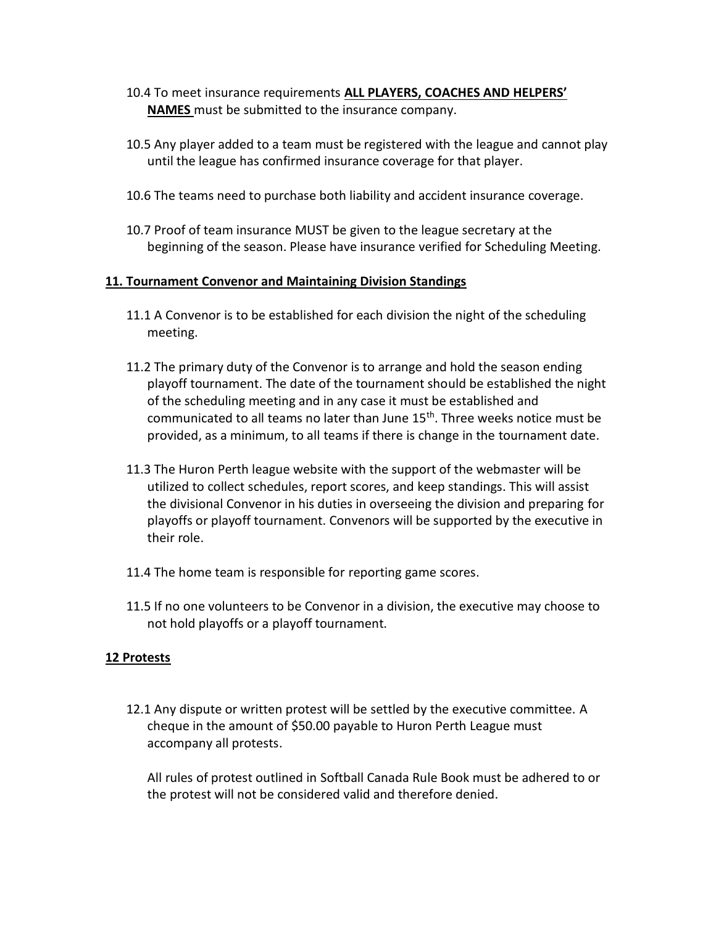- 10.4 To meet insurance requirements **ALL PLAYERS, COACHES AND HELPERS' NAMES** must be submitted to the insurance company.
- 10.5 Any player added to a team must be registered with the league and cannot play until the league has confirmed insurance coverage for that player.
- 10.6 The teams need to purchase both liability and accident insurance coverage.
- 10.7 Proof of team insurance MUST be given to the league secretary at the beginning of the season. Please have insurance verified for Scheduling Meeting.

#### **11. Tournament Convenor and Maintaining Division Standings**

- 11.1 A Convenor is to be established for each division the night of the scheduling meeting.
- 11.2 The primary duty of the Convenor is to arrange and hold the season ending playoff tournament. The date of the tournament should be established the night of the scheduling meeting and in any case it must be established and communicated to all teams no later than June 15<sup>th</sup>. Three weeks notice must be provided, as a minimum, to all teams if there is change in the tournament date.
- 11.3 The Huron Perth league website with the support of the webmaster will be utilized to collect schedules, report scores, and keep standings. This will assist the divisional Convenor in his duties in overseeing the division and preparing for playoffs or playoff tournament. Convenors will be supported by the executive in their role.
- 11.4 The home team is responsible for reporting game scores.
- 11.5 If no one volunteers to be Convenor in a division, the executive may choose to not hold playoffs or a playoff tournament.

### **12 Protests**

12.1 Any dispute or written protest will be settled by the executive committee. A cheque in the amount of \$50.00 payable to Huron Perth League must accompany all protests.

All rules of protest outlined in Softball Canada Rule Book must be adhered to or the protest will not be considered valid and therefore denied.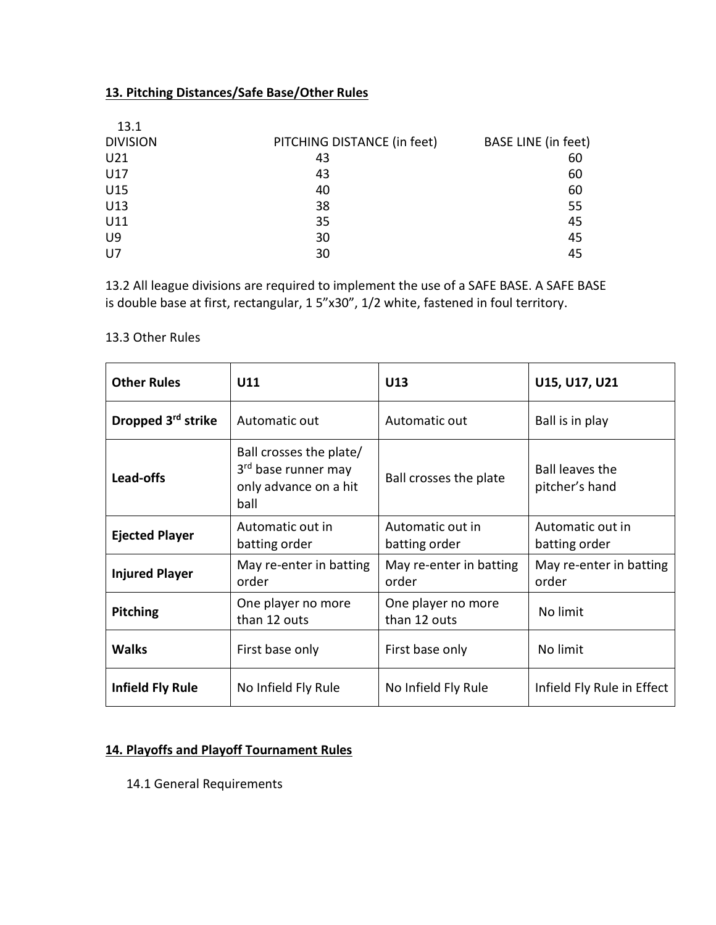# **13. Pitching Distances/Safe Base/Other Rules**

| 13.1            |                             |                     |
|-----------------|-----------------------------|---------------------|
| <b>DIVISION</b> | PITCHING DISTANCE (in feet) | BASE LINE (in feet) |
| U <sub>21</sub> | 43                          | 60                  |
| U17             | 43                          | 60                  |
| U15             | 40                          | 60                  |
| U13             | 38                          | 55                  |
| U11             | 35                          | 45                  |
| U9              | 30                          | 45                  |
| U7              | 30                          | 45                  |

13.2 All league divisions are required to implement the use of a SAFE BASE. A SAFE BASE is double base at first, rectangular, 1 5"x30", 1/2 white, fastened in foul territory.

### 13.3 Other Rules

| <b>Other Rules</b>             | U11                                                                                         | U13                                | U15, U17, U21                            |
|--------------------------------|---------------------------------------------------------------------------------------------|------------------------------------|------------------------------------------|
| Dropped 3 <sup>rd</sup> strike | Automatic out                                                                               | Automatic out                      | Ball is in play                          |
| Lead-offs                      | Ball crosses the plate/<br>3 <sup>rd</sup> base runner may<br>only advance on a hit<br>ball | Ball crosses the plate             | <b>Ball leaves the</b><br>pitcher's hand |
| <b>Ejected Player</b>          | Automatic out in<br>batting order                                                           | Automatic out in<br>batting order  | Automatic out in<br>batting order        |
| <b>Injured Player</b>          | May re-enter in batting<br>order                                                            | May re-enter in batting<br>order   | May re-enter in batting<br>order         |
| <b>Pitching</b>                | One player no more<br>than 12 outs                                                          | One player no more<br>than 12 outs | No limit                                 |
| <b>Walks</b>                   | First base only                                                                             | First base only                    | No limit                                 |
| <b>Infield Fly Rule</b>        | No Infield Fly Rule                                                                         | No Infield Fly Rule                | Infield Fly Rule in Effect               |

# **14. Playoffs and Playoff Tournament Rules**

14.1 General Requirements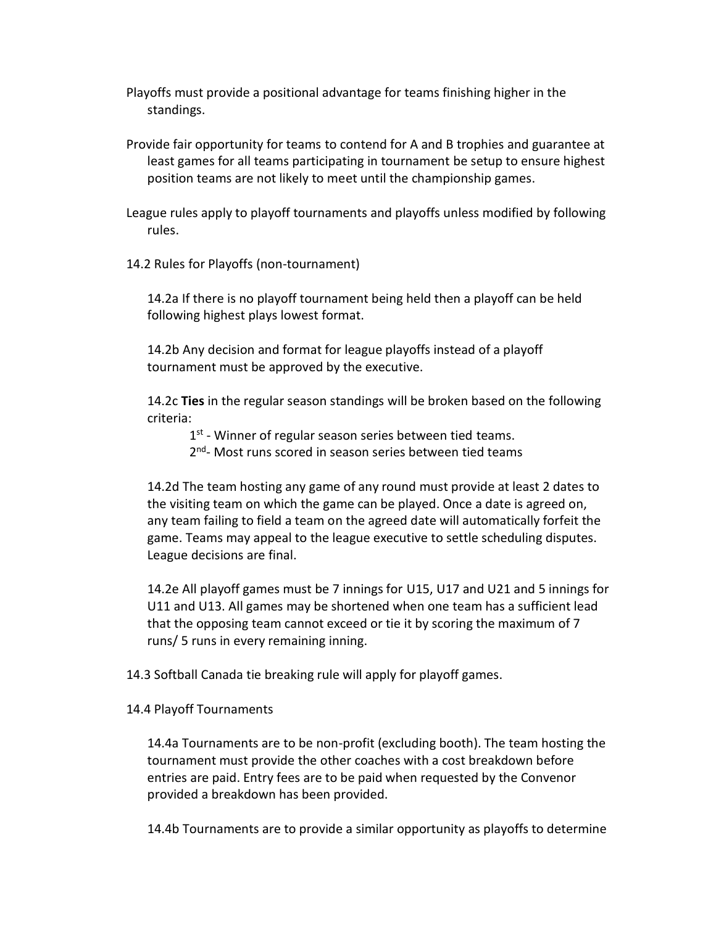Playoffs must provide a positional advantage for teams finishing higher in the standings.

Provide fair opportunity for teams to contend for A and B trophies and guarantee at least games for all teams participating in tournament be setup to ensure highest position teams are not likely to meet until the championship games.

League rules apply to playoff tournaments and playoffs unless modified by following rules.

14.2 Rules for Playoffs (non-tournament)

14.2a If there is no playoff tournament being held then a playoff can be held following highest plays lowest format.

14.2b Any decision and format for league playoffs instead of a playoff tournament must be approved by the executive.

14.2c **Ties** in the regular season standings will be broken based on the following criteria:

1<sup>st</sup> - Winner of regular season series between tied teams.

2<sup>nd</sup>- Most runs scored in season series between tied teams

14.2d The team hosting any game of any round must provide at least 2 dates to the visiting team on which the game can be played. Once a date is agreed on, any team failing to field a team on the agreed date will automatically forfeit the game. Teams may appeal to the league executive to settle scheduling disputes. League decisions are final.

14.2e All playoff games must be 7 innings for U15, U17 and U21 and 5 innings for U11 and U13. All games may be shortened when one team has a sufficient lead that the opposing team cannot exceed or tie it by scoring the maximum of 7 runs/ 5 runs in every remaining inning.

14.3 Softball Canada tie breaking rule will apply for playoff games.

#### 14.4 Playoff Tournaments

14.4a Tournaments are to be non-profit (excluding booth). The team hosting the tournament must provide the other coaches with a cost breakdown before entries are paid. Entry fees are to be paid when requested by the Convenor provided a breakdown has been provided.

14.4b Tournaments are to provide a similar opportunity as playoffs to determine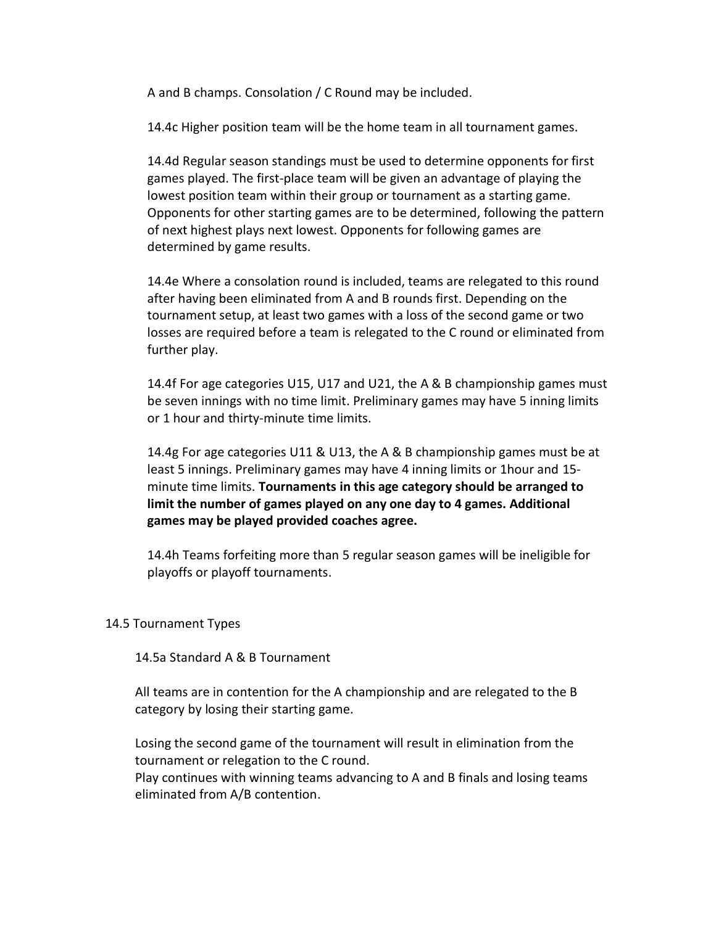A and B champs. Consolation / C Round may be included.

14.4c Higher position team will be the home team in all tournament games.

14.4d Regular season standings must be used to determine opponents for first games played. The first-place team will be given an advantage of playing the lowest position team within their group or tournament as a starting game. Opponents for other starting games are to be determined, following the pattern of next highest plays next lowest. Opponents for following games are determined by game results.

14.4e Where a consolation round is included, teams are relegated to this round after having been eliminated from A and B rounds first. Depending on the tournament setup, at least two games with a loss of the second game or two losses are required before a team is relegated to the C round or eliminated from further play.

14.4f For age categories U15, U17 and U21, the A & B championship games must be seven innings with no time limit. Preliminary games may have 5 inning limits or 1 hour and thirty-minute time limits.

14.4g For age categories U11 & U13, the A & B championship games must be at least 5 innings. Preliminary games may have 4 inning limits or 1hour and 15 minute time limits. **Tournaments in this age category should be arranged to limit the number of games played on any one day to 4 games. Additional games may be played provided coaches agree.**

14.4h Teams forfeiting more than 5 regular season games will be ineligible for playoffs or playoff tournaments.

### 14.5 Tournament Types

14.5a Standard A & B Tournament

All teams are in contention for the A championship and are relegated to the B category by losing their starting game.

Losing the second game of the tournament will result in elimination from the tournament or relegation to the C round.

Play continues with winning teams advancing to A and B finals and losing teams eliminated from A/B contention.